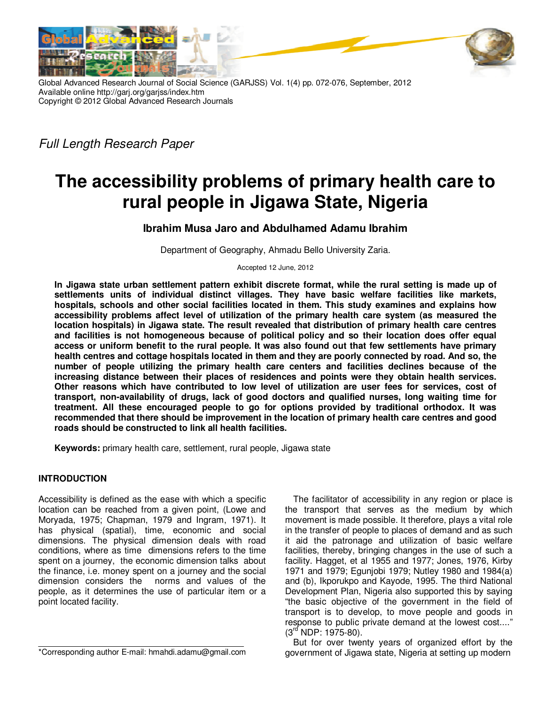

Global Advanced Research Journal of Social Science (GARJSS) Vol. 1(4) pp. 072-076, September, 2012 Available online http://garj.org/garjss/index.htm Copyright © 2012 Global Advanced Research Journals

Full Length Research Paper

# **The accessibility problems of primary health care to rural people in Jigawa State, Nigeria**

**Ibrahim Musa Jaro and Abdulhamed Adamu Ibrahim** 

Department of Geography, Ahmadu Bello University Zaria.

Accepted 12 June, 2012

**In Jigawa state urban settlement pattern exhibit discrete format, while the rural setting is made up of settlements units of individual distinct villages. They have basic welfare facilities like markets, hospitals, schools and other social facilities located in them. This study examines and explains how accessibility problems affect level of utilization of the primary health care system (as measured the location hospitals) in Jigawa state. The result revealed that distribution of primary health care centres and facilities is not homogeneous because of political policy and so their location does offer equal access or uniform benefit to the rural people. It was also found out that few settlements have primary health centres and cottage hospitals located in them and they are poorly connected by road. And so, the number of people utilizing the primary health care centers and facilities declines because of the increasing distance between their places of residences and points were they obtain health services. Other reasons which have contributed to low level of utilization are user fees for services, cost of transport, non-availability of drugs, lack of good doctors and qualified nurses, long waiting time for treatment. All these encouraged people to go for options provided by traditional orthodox. It was recommended that there should be improvement in the location of primary health care centres and good roads should be constructed to link all health facilities.** 

**Keywords:** primary health care, settlement, rural people, Jigawa state

# **INTRODUCTION**

Accessibility is defined as the ease with which a specific location can be reached from a given point, (Lowe and Moryada, 1975; Chapman, 1979 and Ingram, 1971). It has physical (spatial), time, economic and social dimensions. The physical dimension deals with road conditions, where as time dimensions refers to the time spent on a journey, the economic dimension talks about the finance, i.e. money spent on a journey and the social dimension considers the norms and values of the people, as it determines the use of particular item or a point located facility.

The facilitator of accessibility in any region or place is the transport that serves as the medium by which movement is made possible. It therefore, plays a vital role in the transfer of people to places of demand and as such it aid the patronage and utilization of basic welfare facilities, thereby, bringing changes in the use of such a facility. Hagget, et al 1955 and 1977; Jones, 1976, Kirby 1971 and 1979; Egunjobi 1979; Nutley 1980 and 1984(a) and (b), Ikporukpo and Kayode, 1995. The third National Development Plan, Nigeria also supported this by saying "the basic objective of the government in the field of transport is to develop, to move people and goods in response to public private demand at the lowest cost...."  $(3<sup>rd</sup> NDP: 1975-80)$ .

But for over twenty years of organized effort by the government of Jigawa state, Nigeria at setting up modern

<sup>\*</sup>Corresponding author E-mail: hmahdi.adamu@gmail.com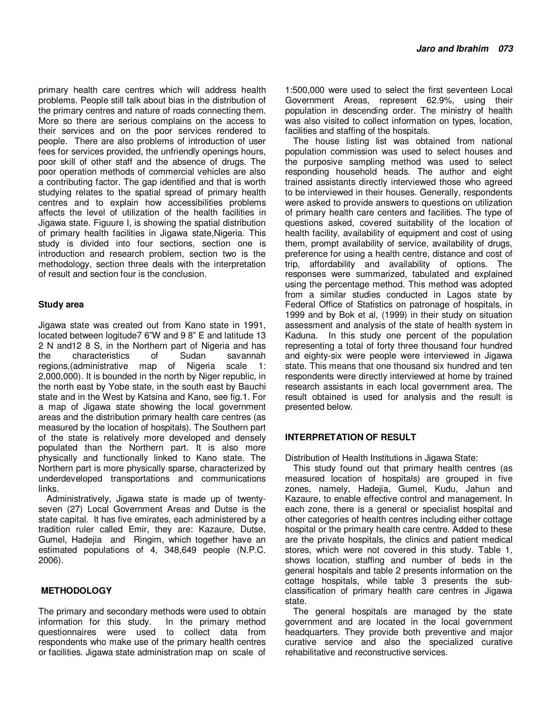primary health care centres which will address health problems. People still talk about bias in the distribution of the primary centres and nature of roads connecting them. More so there are serious complains on the access to their services and on the poor services rendered to people. There are also problems of introduction of user fees for services provided, the unfriendly openings hours, poor skill of other staff and the absence of drugs. The poor operation methods of commercial vehicles are also a contributing factor. The gap identified and that is worth studying relates to the spatial spread of primary health centres and to explain how accessibilities problems affects the level of utilization of the health facilities in Jigawa state. Figuure I, is showing the spatial distribution of primary health facilities in Jigawa state,Nigeria. This study is divided into four sections, section one is introduction and research problem, section two is the methodology, section three deals with the interpretation of result and section four is the conclusion.

#### **Study area**

Jigawa state was created out from Kano state in 1991, located between logitude7 6"W and 9 8" E and latitude 13 2 N and12 8 S, in the Northern part of Nigeria and has the characteristics of Sudan savannah regions,(administrative map of Nigeria scale 1: 2,000,000). It is bounded in the north by Niger republic, in the north east by Yobe state, in the south east by Bauchi state and in the West by Katsina and Kano, see fig.1. For a map of Jigawa state showing the local government areas and the distribution primary health care centres (as measured by the location of hospitals). The Southern part of the state is relatively more developed and densely populated than the Northern part. It is also more physically and functionally linked to Kano state. The Northern part is more physically sparse, characterized by underdeveloped transportations and communications links.

Administratively, Jigawa state is made up of twentyseven (27) Local Government Areas and Dutse is the state capital. It has five emirates, each administered by a tradition ruler called Emir, they are: Kazaure, Dutse, Gumel, Hadejia and Ringim, which together have an estimated populations of 4, 348,649 people (N.P.C. 2006).

# **METHODOLOGY**

The primary and secondary methods were used to obtain information for this study. In the primary method questionnaires were used to collect data from respondents who make use of the primary health centres or facilities. Jigawa state administration map on scale of

1:500,000 were used to select the first seventeen Local Government Areas, represent 62.9%, using their population in descending order. The ministry of health was also visited to collect information on types, location, facilities and staffing of the hospitals.

The house listing list was obtained from national population commission was used to select houses and the purposive sampling method was used to select responding household heads. The author and eight trained assistants directly interviewed those who agreed to be interviewed in their houses. Generally, respondents were asked to provide answers to questions on utilization of primary health care centers and facilities. The type of questions asked, covered suitability of the location of health facility, availability of equipment and cost of using them, prompt availability of service, availability of drugs, preference for using a health centre, distance and cost of trip, affordability and availability of options. The responses were summarized, tabulated and explained using the percentage method. This method was adopted from a similar studies conducted in Lagos state by Federal Office of Statistics on patronage of hospitals, in 1999 and by Bok et al, (1999) in their study on situation assessment and analysis of the state of health system in Kaduna. In this study one percent of the population representing a total of forty three thousand four hundred and eighty-six were people were interviewed in Jigawa state. This means that one thousand six hundred and ten respondents were directly interviewed at home by trained research assistants in each local government area. The result obtained is used for analysis and the result is presented below.

# **INTERPRETATION OF RESULT**

Distribution of Health Institutions in Jigawa State:

This study found out that primary health centres (as measured location of hospitals) are grouped in five zones, namely, Hadejia, Gumel, Kudu, Jahun and Kazaure, to enable effective control and management. In each zone, there is a general or specialist hospital and other categories of health centres including either cottage hospital or the primary health care centre. Added to these are the private hospitals, the clinics and patient medical stores, which were not covered in this study. Table 1, shows location, staffing and number of beds in the general hospitals and table 2 presents information on the cottage hospitals, while table 3 presents the subclassification of primary health care centres in Jigawa state.

The general hospitals are managed by the state government and are located in the local government headquarters. They provide both preventive and major curative service and also the specialized curative rehabilitative and reconstructive services.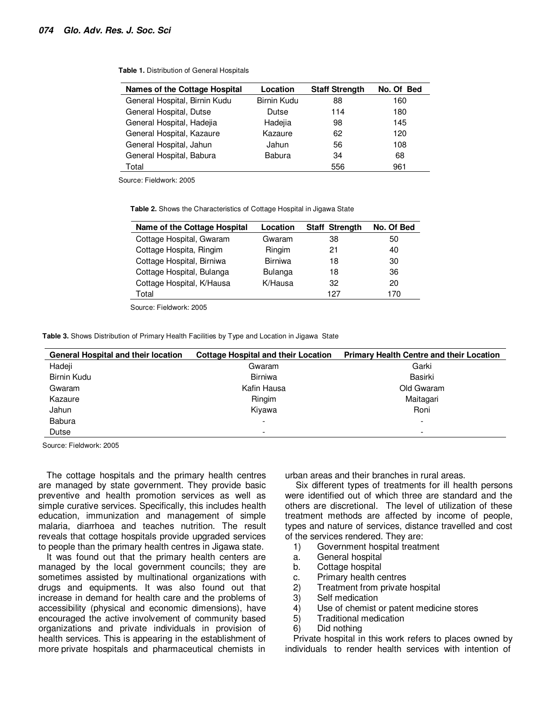| <b>Names of the Cottage Hospital</b> | Location           | <b>Staff Strength</b> | No. Of Bed |
|--------------------------------------|--------------------|-----------------------|------------|
| General Hospital, Birnin Kudu        | <b>Birnin Kudu</b> | 88                    | 160        |
| General Hospital, Dutse              | Dutse              | 114                   | 180        |
| General Hospital, Hadejia            | Hadejia            | 98                    | 145        |
| General Hospital, Kazaure            | Kazaure            | 62                    | 120        |
| General Hospital, Jahun              | Jahun              | 56                    | 108        |
| General Hospital, Babura             | Babura             | 34                    | 68         |
| Total                                |                    | 556                   | 961        |

**Table 1.** Distribution of General Hospitals

Source: Fieldwork: 2005

**Table 2.** Shows the Characteristics of Cottage Hospital in Jigawa State

| Name of the Cottage Hospital | Location       | Staff Strength | No. Of Bed |
|------------------------------|----------------|----------------|------------|
| Cottage Hospital, Gwaram     | Gwaram         | 38             | 50         |
| Cottage Hospita, Ringim      | Ringim         | 21             | 40         |
| Cottage Hospital, Birniwa    | <b>Birniwa</b> | 18             | 30         |
| Cottage Hospital, Bulanga    | Bulanga        | 18             | 36         |
| Cottage Hospital, K/Hausa    | K/Hausa        | 32             | 20         |
| Total                        |                | 127            | 170        |
|                              |                |                |            |

Source: Fieldwork: 2005

**Table 3.** Shows Distribution of Primary Health Facilities by Type and Location in Jigawa State

| <b>General Hospital and their location</b> | <b>Cottage Hospital and their Location</b> | <b>Primary Health Centre and their Location</b> |
|--------------------------------------------|--------------------------------------------|-------------------------------------------------|
| Hadeji                                     | Gwaram                                     | Garki                                           |
| <b>Birnin Kudu</b>                         | <b>Birniwa</b>                             | Basirki                                         |
| Gwaram                                     | Kafin Hausa                                | Old Gwaram                                      |
| Kazaure                                    | Ringim                                     | Maitagari                                       |
| Jahun                                      | Kiyawa                                     | Roni                                            |
| <b>Babura</b>                              | -                                          |                                                 |
| Dutse                                      | $\overline{\phantom{a}}$                   | $\overline{\phantom{a}}$                        |

Source: Fieldwork: 2005

The cottage hospitals and the primary health centres are managed by state government. They provide basic preventive and health promotion services as well as simple curative services. Specifically, this includes health education, immunization and management of simple malaria, diarrhoea and teaches nutrition. The result reveals that cottage hospitals provide upgraded services to people than the primary health centres in Jigawa state.

It was found out that the primary health centers are managed by the local government councils; they are sometimes assisted by multinational organizations with drugs and equipments. It was also found out that increase in demand for health care and the problems of accessibility (physical and economic dimensions), have encouraged the active involvement of community based organizations and private individuals in provision of health services. This is appearing in the establishment of more private hospitals and pharmaceutical chemists in

urban areas and their branches in rural areas.

 Six different types of treatments for ill health persons were identified out of which three are standard and the others are discretional. The level of utilization of these treatment methods are affected by income of people, types and nature of services, distance travelled and cost of the services rendered. They are:

- 1) Government hospital treatment
- a. General hospital
- b. Cottage hospital
- c. Primary health centres
- 2) Treatment from private hospital
- 3) Self medication
- 4) Use of chemist or patent medicine stores
- 5) Traditional medication
- 6) Did nothing

Private hospital in this work refers to places owned by individuals to render health services with intention of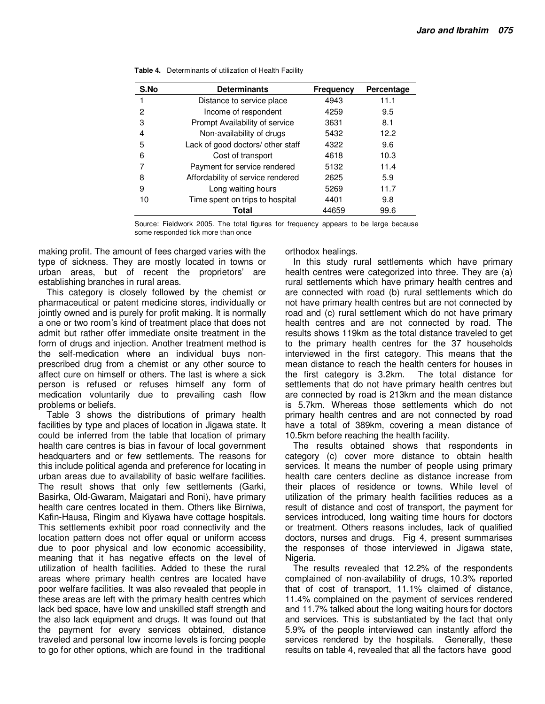| S.No | <b>Determinants</b>               | Frequency | Percentage |
|------|-----------------------------------|-----------|------------|
|      | Distance to service place         | 4943      | 11.1       |
| 2    | Income of respondent              | 4259      | 9.5        |
| 3    | Prompt Availability of service    | 3631      | 8.1        |
| 4    | Non-availability of drugs         | 5432      | 12.2       |
| 5    | Lack of good doctors/ other staff | 4322      | 9.6        |
| 6    | Cost of transport                 | 4618      | 10.3       |
|      | Payment for service rendered      | 5132      | 11.4       |
| 8    | Affordability of service rendered | 2625      | 5.9        |
| 9    | Long waiting hours                | 5269      | 11.7       |
| 10   | Time spent on trips to hospital   | 4401      | 9.8        |
|      | Total                             | 44659     | 99.6       |

| <b>Table 4.</b> Determinants of utilization of Health Facility |
|----------------------------------------------------------------|
|                                                                |

Source: Fieldwork 2005. The total figures for frequency appears to be large because some responded tick more than once

making profit. The amount of fees charged varies with the type of sickness. They are mostly located in towns or urban areas, but of recent the proprietors' are establishing branches in rural areas.

This category is closely followed by the chemist or pharmaceutical or patent medicine stores, individually or jointly owned and is purely for profit making. It is normally a one or two room's kind of treatment place that does not admit but rather offer immediate onsite treatment in the form of drugs and injection. Another treatment method is the self-medication where an individual buys nonprescribed drug from a chemist or any other source to affect cure on himself or others. The last is where a sick person is refused or refuses himself any form of medication voluntarily due to prevailing cash flow problems or beliefs.

Table 3 shows the distributions of primary health facilities by type and places of location in Jigawa state. It could be inferred from the table that location of primary health care centres is bias in favour of local government headquarters and or few settlements. The reasons for this include political agenda and preference for locating in urban areas due to availability of basic welfare facilities. The result shows that only few settlements (Garki, Basirka, Old-Gwaram, Maigatari and Roni), have primary health care centres located in them. Others like Birniwa, Kafin-Hausa, Ringim and Kiyawa have cottage hospitals. This settlements exhibit poor road connectivity and the location pattern does not offer equal or uniform access due to poor physical and low economic accessibility, meaning that it has negative effects on the level of utilization of health facilities. Added to these the rural areas where primary health centres are located have poor welfare facilities. It was also revealed that people in these areas are left with the primary health centres which lack bed space, have low and unskilled staff strength and the also lack equipment and drugs. It was found out that the payment for every services obtained, distance traveled and personal low income levels is forcing people to go for other options, which are found in the traditional

orthodox healings.

In this study rural settlements which have primary health centres were categorized into three. They are (a) rural settlements which have primary health centres and are connected with road (b) rural settlements which do not have primary health centres but are not connected by road and (c) rural settlement which do not have primary health centres and are not connected by road. The results shows 119km as the total distance traveled to get to the primary health centres for the 37 households interviewed in the first category. This means that the mean distance to reach the health centers for houses in the first category is 3.2km. The total distance for settlements that do not have primary health centres but are connected by road is 213km and the mean distance is 5.7km. Whereas those settlements which do not primary health centres and are not connected by road have a total of 389km, covering a mean distance of 10.5km before reaching the health facility.

The results obtained shows that respondents in category (c) cover more distance to obtain health services. It means the number of people using primary health care centers decline as distance increase from their places of residence or towns. While level of utilization of the primary health facilities reduces as a result of distance and cost of transport, the payment for services introduced, long waiting time hours for doctors or treatment. Others reasons includes, lack of qualified doctors, nurses and drugs. Fig 4, present summarises the responses of those interviewed in Jigawa state, Nigeria.

The results revealed that 12.2% of the respondents complained of non-availability of drugs, 10.3% reported that of cost of transport, 11.1% claimed of distance, 11.4% complained on the payment of services rendered and 11.7% talked about the long waiting hours for doctors and services. This is substantiated by the fact that only 5.9% of the people interviewed can instantly afford the services rendered by the hospitals. Generally, these results on table 4, revealed that all the factors have good